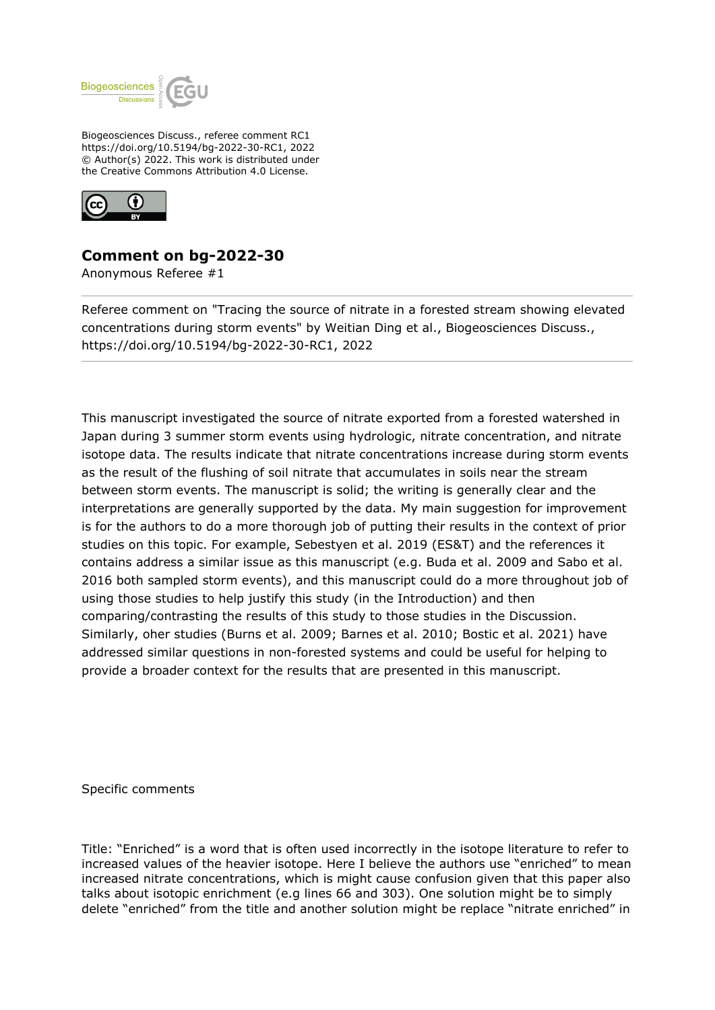

Biogeosciences Discuss., referee comment RC1 https://doi.org/10.5194/bg-2022-30-RC1, 2022 © Author(s) 2022. This work is distributed under the Creative Commons Attribution 4.0 License.



## **Comment on bg-2022-30**

Anonymous Referee #1

Referee comment on "Tracing the source of nitrate in a forested stream showing elevated concentrations during storm events" by Weitian Ding et al., Biogeosciences Discuss., https://doi.org/10.5194/bg-2022-30-RC1, 2022

This manuscript investigated the source of nitrate exported from a forested watershed in Japan during 3 summer storm events using hydrologic, nitrate concentration, and nitrate isotope data. The results indicate that nitrate concentrations increase during storm events as the result of the flushing of soil nitrate that accumulates in soils near the stream between storm events. The manuscript is solid; the writing is generally clear and the interpretations are generally supported by the data. My main suggestion for improvement is for the authors to do a more thorough job of putting their results in the context of prior studies on this topic. For example, Sebestyen et al. 2019 (ES&T) and the references it contains address a similar issue as this manuscript (e.g. Buda et al. 2009 and Sabo et al. 2016 both sampled storm events), and this manuscript could do a more throughout job of using those studies to help justify this study (in the Introduction) and then comparing/contrasting the results of this study to those studies in the Discussion. Similarly, oher studies (Burns et al. 2009; Barnes et al. 2010; Bostic et al. 2021) have addressed similar questions in non-forested systems and could be useful for helping to provide a broader context for the results that are presented in this manuscript.

Specific comments

Title: "Enriched" is a word that is often used incorrectly in the isotope literature to refer to increased values of the heavier isotope. Here I believe the authors use "enriched" to mean increased nitrate concentrations, which is might cause confusion given that this paper also talks about isotopic enrichment (e.g lines 66 and 303). One solution might be to simply delete "enriched" from the title and another solution might be replace "nitrate enriched" in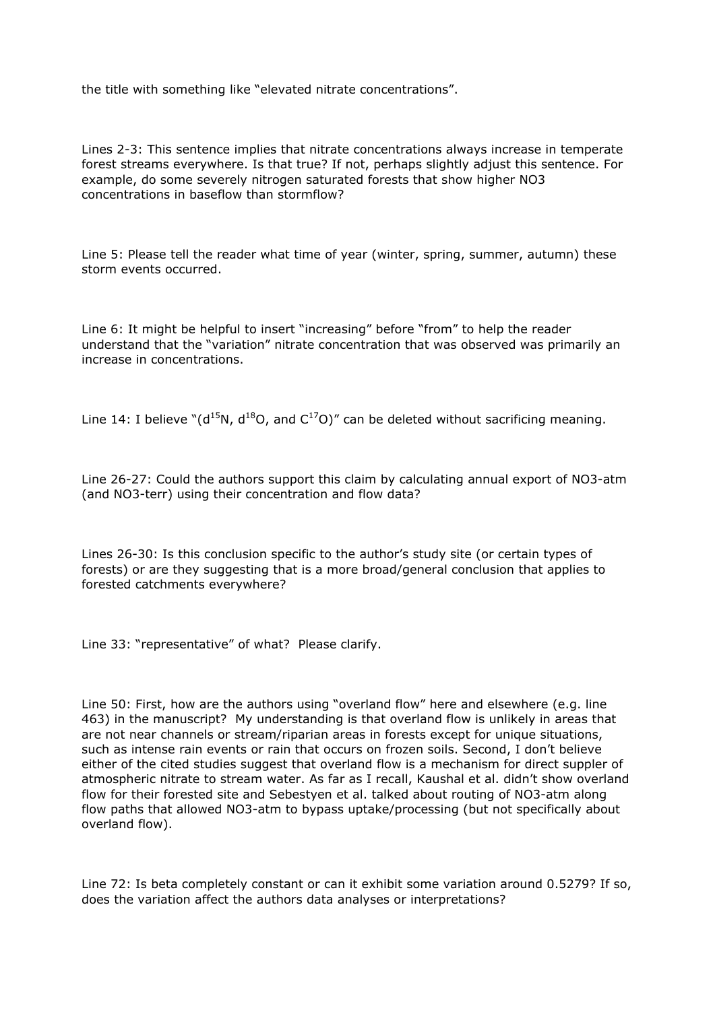the title with something like "elevated nitrate concentrations".

Lines 2-3: This sentence implies that nitrate concentrations always increase in temperate forest streams everywhere. Is that true? If not, perhaps slightly adjust this sentence. For example, do some severely nitrogen saturated forests that show higher NO3 concentrations in baseflow than stormflow?

Line 5: Please tell the reader what time of year (winter, spring, summer, autumn) these storm events occurred.

Line 6: It might be helpful to insert "increasing" before "from" to help the reader understand that the "variation" nitrate concentration that was observed was primarily an increase in concentrations.

Line 14: I believe " $(d^{15}N, d^{18}O,$  and  $C^{17}O$ " can be deleted without sacrificing meaning.

Line 26-27: Could the authors support this claim by calculating annual export of NO3-atm (and NO3-terr) using their concentration and flow data?

Lines 26-30: Is this conclusion specific to the author's study site (or certain types of forests) or are they suggesting that is a more broad/general conclusion that applies to forested catchments everywhere?

Line 33: "representative" of what? Please clarify.

Line 50: First, how are the authors using "overland flow" here and elsewhere (e.g. line 463) in the manuscript? My understanding is that overland flow is unlikely in areas that are not near channels or stream/riparian areas in forests except for unique situations, such as intense rain events or rain that occurs on frozen soils. Second, I don't believe either of the cited studies suggest that overland flow is a mechanism for direct suppler of atmospheric nitrate to stream water. As far as I recall, Kaushal et al. didn't show overland flow for their forested site and Sebestyen et al. talked about routing of NO3-atm along flow paths that allowed NO3-atm to bypass uptake/processing (but not specifically about overland flow).

Line 72: Is beta completely constant or can it exhibit some variation around 0.5279? If so, does the variation affect the authors data analyses or interpretations?